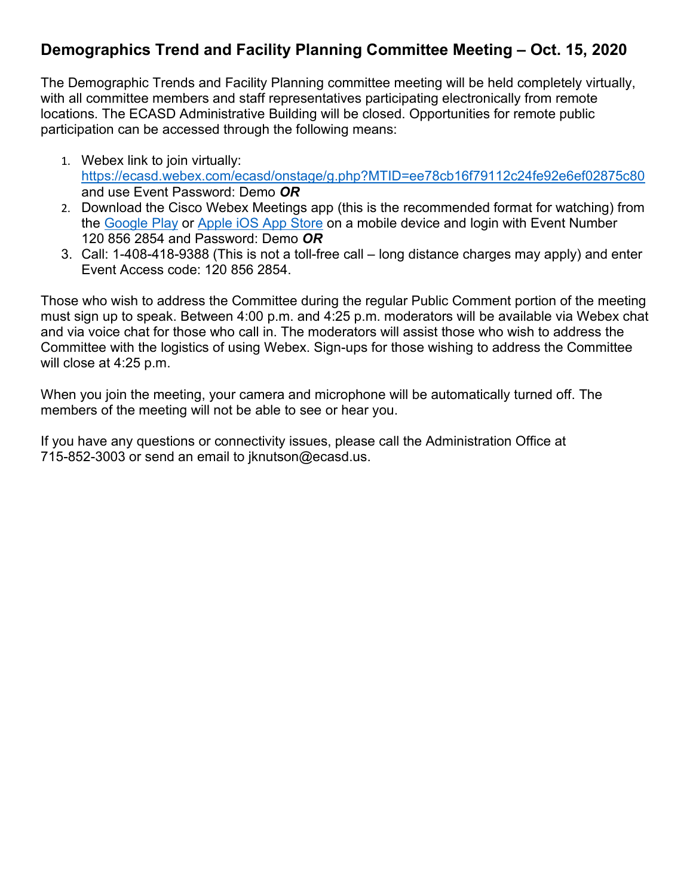# **Demographics Trend and Facility Planning Committee Meeting – Oct. 15, 2020**

The Demographic Trends and Facility Planning committee meeting will be held completely virtually, with all committee members and staff representatives participating electronically from remote locations. The ECASD Administrative Building will be closed. Opportunities for remote public participation can be accessed through the following means:

- 1. Webex link to join virtually: <https://ecasd.webex.com/ecasd/onstage/g.php?MTID=ee78cb16f79112c24fe92e6ef02875c80> and use Event Password: Demo *OR*
- 2. Download the Cisco Webex Meetings app (this is the recommended format for watching) from the [Google Play](https://play.google.com/store/apps/details?id=com.cisco.webex.meetings) or [Apple iOS App Store](https://itunes.apple.com/us/app/cisco-webex-meetings/id298844386) on a mobile device and login with Event Number 120 856 2854 and Password: Demo *OR*
- 3. Call: 1-408-418-9388 (This is not a toll-free call long distance charges may apply) and enter Event Access code: 120 856 2854.

Those who wish to address the Committee during the regular Public Comment portion of the meeting must sign up to speak. Between 4:00 p.m. and 4:25 p.m. moderators will be available via Webex chat and via voice chat for those who call in. The moderators will assist those who wish to address the Committee with the logistics of using Webex. Sign-ups for those wishing to address the Committee will close at 4:25 p.m.

When you join the meeting, your camera and microphone will be automatically turned off. The members of the meeting will not be able to see or hear you.

If you have any questions or connectivity issues, please call the Administration Office at 715-852-3003 or send an email to jknutson@ecasd.us.